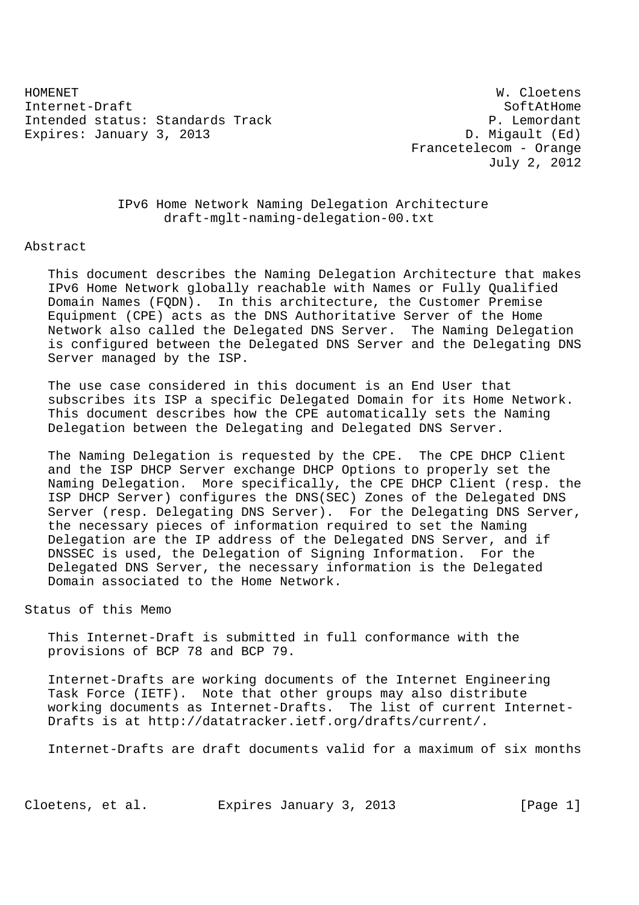HOMENET W. Cloetens Internet-Draft SoftAtHome Intended status: Standards Track P. Lemordant Expires: January 3, 2013 Channel Communication Communication D. Migault (Ed)

 Francetelecom - Orange July 2, 2012

# IPv6 Home Network Naming Delegation Architecture draft-mglt-naming-delegation-00.txt

#### Abstract

 This document describes the Naming Delegation Architecture that makes IPv6 Home Network globally reachable with Names or Fully Qualified Domain Names (FQDN). In this architecture, the Customer Premise Equipment (CPE) acts as the DNS Authoritative Server of the Home Network also called the Delegated DNS Server. The Naming Delegation is configured between the Delegated DNS Server and the Delegating DNS Server managed by the ISP.

 The use case considered in this document is an End User that subscribes its ISP a specific Delegated Domain for its Home Network. This document describes how the CPE automatically sets the Naming Delegation between the Delegating and Delegated DNS Server.

 The Naming Delegation is requested by the CPE. The CPE DHCP Client and the ISP DHCP Server exchange DHCP Options to properly set the Naming Delegation. More specifically, the CPE DHCP Client (resp. the ISP DHCP Server) configures the DNS(SEC) Zones of the Delegated DNS Server (resp. Delegating DNS Server). For the Delegating DNS Server, the necessary pieces of information required to set the Naming Delegation are the IP address of the Delegated DNS Server, and if DNSSEC is used, the Delegation of Signing Information. For the Delegated DNS Server, the necessary information is the Delegated Domain associated to the Home Network.

# Status of this Memo

 This Internet-Draft is submitted in full conformance with the provisions of BCP 78 and BCP 79.

 Internet-Drafts are working documents of the Internet Engineering Task Force (IETF). Note that other groups may also distribute working documents as Internet-Drafts. The list of current Internet- Drafts is at http://datatracker.ietf.org/drafts/current/.

Internet-Drafts are draft documents valid for a maximum of six months

Cloetens, et al. Expires January 3, 2013 [Page 1]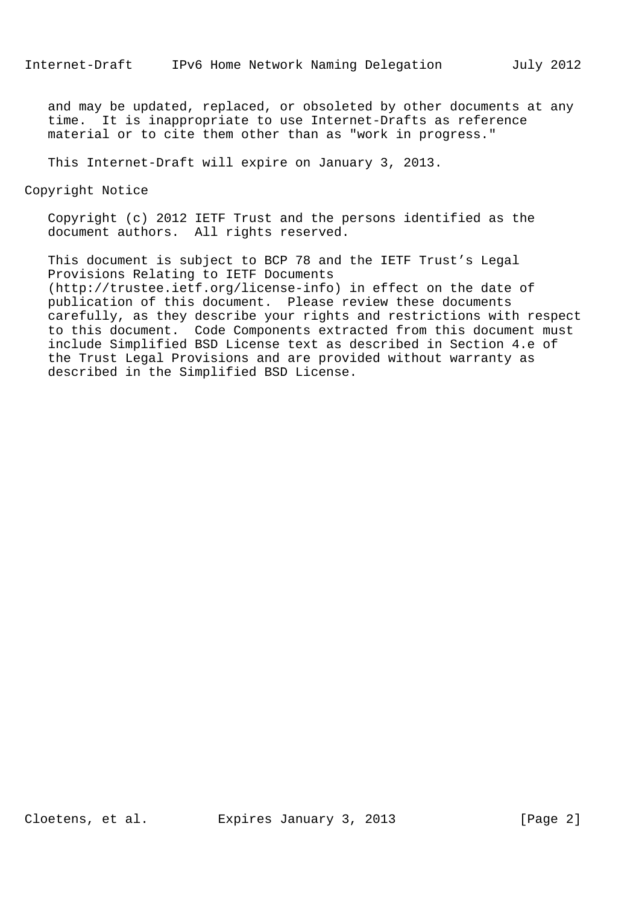and may be updated, replaced, or obsoleted by other documents at any time. It is inappropriate to use Internet-Drafts as reference material or to cite them other than as "work in progress."

This Internet-Draft will expire on January 3, 2013.

Copyright Notice

 Copyright (c) 2012 IETF Trust and the persons identified as the document authors. All rights reserved.

 This document is subject to BCP 78 and the IETF Trust's Legal Provisions Relating to IETF Documents (http://trustee.ietf.org/license-info) in effect on the date of publication of this document. Please review these documents carefully, as they describe your rights and restrictions with respect to this document. Code Components extracted from this document must include Simplified BSD License text as described in Section 4.e of the Trust Legal Provisions and are provided without warranty as described in the Simplified BSD License.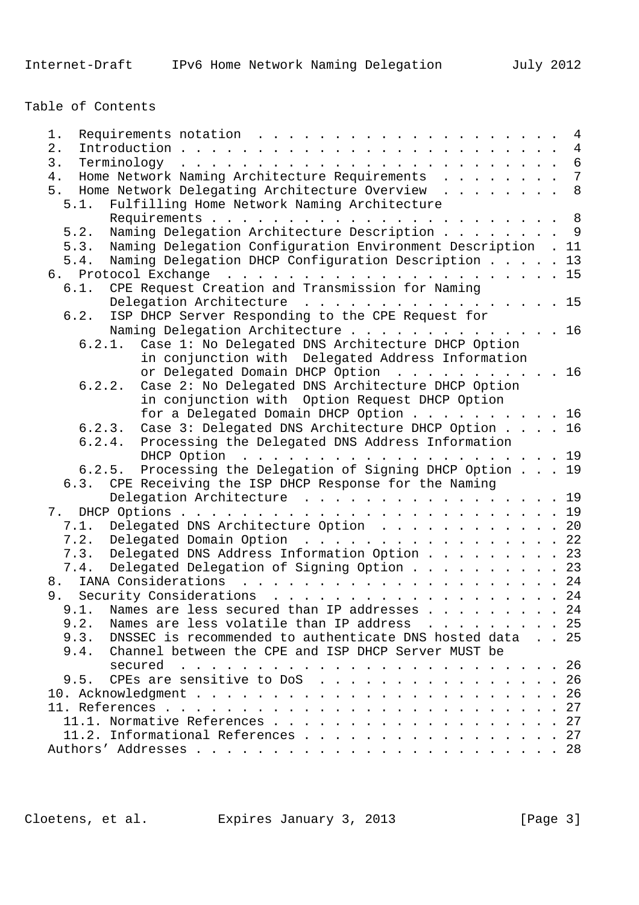Table of Contents

| $1$ .                                                                | $\overline{4}$ |
|----------------------------------------------------------------------|----------------|
| $2$ .                                                                |                |
| 3.                                                                   |                |
| Home Network Naming Architecture Requirements 7<br>4.                |                |
| Home Network Delegating Architecture Overview 8<br>5.                |                |
| 5.1. Fulfilling Home Network Naming Architecture                     |                |
|                                                                      |                |
| Naming Delegation Architecture Description 9<br>5.2.                 |                |
|                                                                      |                |
| Naming Delegation Configuration Environment Description . 11<br>5.3. |                |
| 5.4. Naming Delegation DHCP Configuration Description 13             |                |
|                                                                      |                |
| CPE Request Creation and Transmission for Naming<br>6.1.             |                |
| Delegation Architecture 15                                           |                |
| 6.2. ISP DHCP Server Responding to the CPE Request for               |                |
| Naming Delegation Architecture 16                                    |                |
| 6.2.1. Case 1: No Delegated DNS Architecture DHCP Option             |                |
| in conjunction with Delegated Address Information                    |                |
| or Delegated Domain DHCP Option 16                                   |                |
| Case 2: No Delegated DNS Architecture DHCP Option<br>6.2.2.          |                |
| in conjunction with Option Request DHCP Option                       |                |
| for a Delegated Domain DHCP Option 16                                |                |
| 6.2.3. Case 3: Delegated DNS Architecture DHCP Option 16             |                |
| 6.2.4. Processing the Delegated DNS Address Information              |                |
| DHCP Option $\ldots$ 19                                              |                |
| 6.2.5. Processing the Delegation of Signing DHCP Option 19           |                |
| 6.3. CPE Receiving the ISP DHCP Response for the Naming              |                |
| Delegation Architecture 19                                           |                |
|                                                                      |                |
| Delegated DNS Architecture Option 20<br>7.1.                         |                |
| 7.2.                                                                 |                |
| Delegated Domain Option 22                                           |                |
| 7.3. Delegated DNS Address Information Option 23                     |                |
| Delegated Delegation of Signing Option 23<br>7.4.                    |                |
|                                                                      |                |
| 9. Security Considerations 24                                        |                |
| 9.1.<br>Names are less secured than IP addresses 24                  |                |
| Names are less volatile than IP address 25<br>9.2.                   |                |
| DNSSEC is recommended to authenticate DNS hosted data 25<br>9.3.     |                |
| Channel between the CPE and ISP DHCP Server MUST be<br>9.4.          |                |
| secured                                                              |                |
| CPEs are sensitive to DoS 26<br>9.5.                                 |                |
|                                                                      |                |
|                                                                      |                |
| 11.1. Normative References 27                                        |                |
| 11.2. Informational References 27                                    |                |
|                                                                      |                |
|                                                                      |                |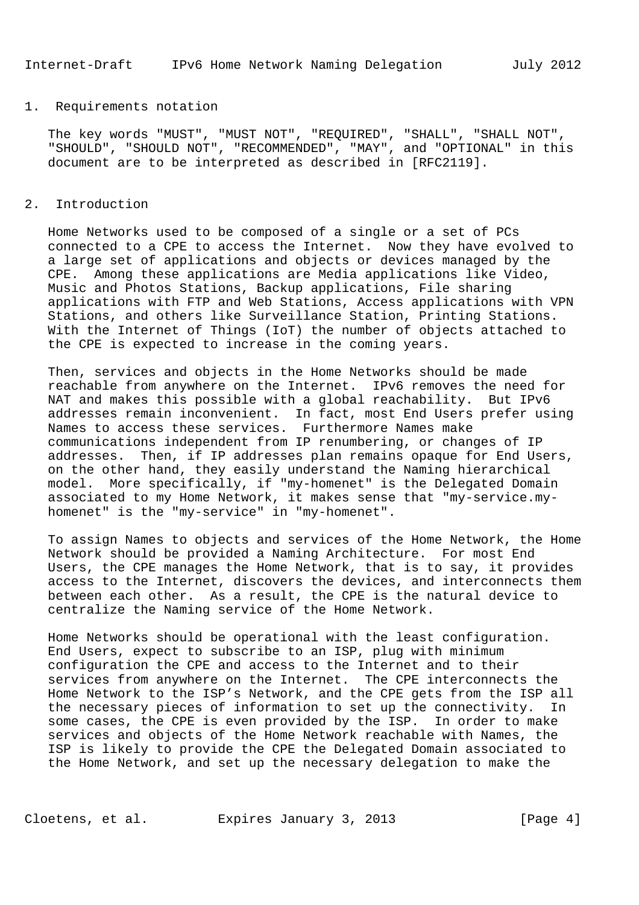#### 1. Requirements notation

 The key words "MUST", "MUST NOT", "REQUIRED", "SHALL", "SHALL NOT", "SHOULD", "SHOULD NOT", "RECOMMENDED", "MAY", and "OPTIONAL" in this document are to be interpreted as described in [RFC2119].

### 2. Introduction

 Home Networks used to be composed of a single or a set of PCs connected to a CPE to access the Internet. Now they have evolved to a large set of applications and objects or devices managed by the CPE. Among these applications are Media applications like Video, Music and Photos Stations, Backup applications, File sharing applications with FTP and Web Stations, Access applications with VPN Stations, and others like Surveillance Station, Printing Stations. With the Internet of Things (IoT) the number of objects attached to the CPE is expected to increase in the coming years.

 Then, services and objects in the Home Networks should be made reachable from anywhere on the Internet. IPv6 removes the need for NAT and makes this possible with a global reachability. But IPv6 addresses remain inconvenient. In fact, most End Users prefer using Names to access these services. Furthermore Names make communications independent from IP renumbering, or changes of IP addresses. Then, if IP addresses plan remains opaque for End Users, on the other hand, they easily understand the Naming hierarchical model. More specifically, if "my-homenet" is the Delegated Domain associated to my Home Network, it makes sense that "my-service.my homenet" is the "my-service" in "my-homenet".

 To assign Names to objects and services of the Home Network, the Home Network should be provided a Naming Architecture. For most End Users, the CPE manages the Home Network, that is to say, it provides access to the Internet, discovers the devices, and interconnects them between each other. As a result, the CPE is the natural device to centralize the Naming service of the Home Network.

 Home Networks should be operational with the least configuration. End Users, expect to subscribe to an ISP, plug with minimum configuration the CPE and access to the Internet and to their services from anywhere on the Internet. The CPE interconnects the Home Network to the ISP's Network, and the CPE gets from the ISP all the necessary pieces of information to set up the connectivity. In some cases, the CPE is even provided by the ISP. In order to make services and objects of the Home Network reachable with Names, the ISP is likely to provide the CPE the Delegated Domain associated to the Home Network, and set up the necessary delegation to make the

Cloetens, et al. Expires January 3, 2013 [Page 4]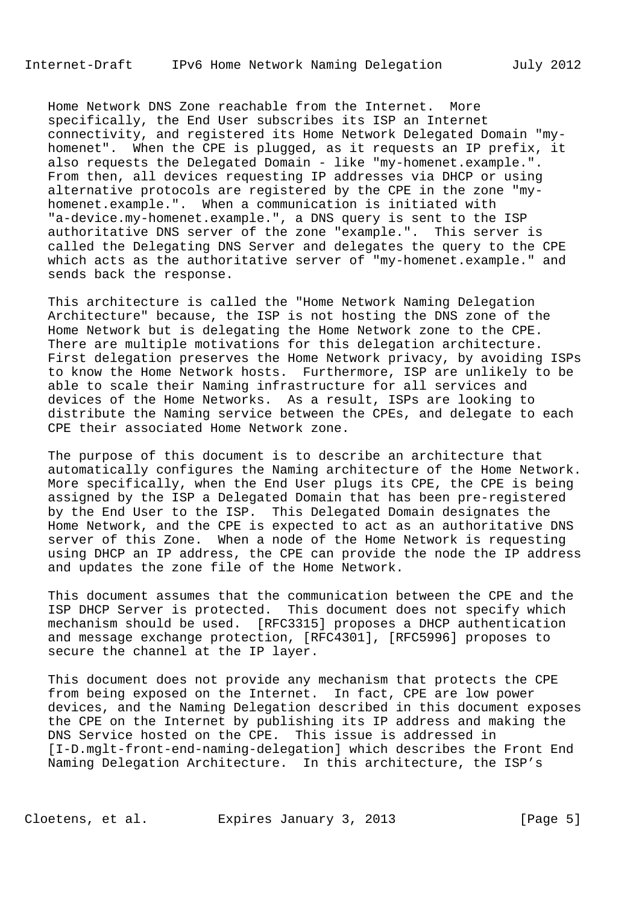Home Network DNS Zone reachable from the Internet. More specifically, the End User subscribes its ISP an Internet connectivity, and registered its Home Network Delegated Domain "my homenet". When the CPE is plugged, as it requests an IP prefix, it also requests the Delegated Domain - like "my-homenet.example.". From then, all devices requesting IP addresses via DHCP or using alternative protocols are registered by the CPE in the zone "my homenet.example.". When a communication is initiated with "a-device.my-homenet.example.", a DNS query is sent to the ISP authoritative DNS server of the zone "example.". This server is called the Delegating DNS Server and delegates the query to the CPE which acts as the authoritative server of "my-homenet.example." and sends back the response.

 This architecture is called the "Home Network Naming Delegation Architecture" because, the ISP is not hosting the DNS zone of the Home Network but is delegating the Home Network zone to the CPE. There are multiple motivations for this delegation architecture. First delegation preserves the Home Network privacy, by avoiding ISPs to know the Home Network hosts. Furthermore, ISP are unlikely to be able to scale their Naming infrastructure for all services and devices of the Home Networks. As a result, ISPs are looking to distribute the Naming service between the CPEs, and delegate to each CPE their associated Home Network zone.

 The purpose of this document is to describe an architecture that automatically configures the Naming architecture of the Home Network. More specifically, when the End User plugs its CPE, the CPE is being assigned by the ISP a Delegated Domain that has been pre-registered by the End User to the ISP. This Delegated Domain designates the Home Network, and the CPE is expected to act as an authoritative DNS server of this Zone. When a node of the Home Network is requesting using DHCP an IP address, the CPE can provide the node the IP address and updates the zone file of the Home Network.

 This document assumes that the communication between the CPE and the ISP DHCP Server is protected. This document does not specify which mechanism should be used. [RFC3315] proposes a DHCP authentication and message exchange protection, [RFC4301], [RFC5996] proposes to secure the channel at the IP layer.

 This document does not provide any mechanism that protects the CPE from being exposed on the Internet. In fact, CPE are low power devices, and the Naming Delegation described in this document exposes the CPE on the Internet by publishing its IP address and making the DNS Service hosted on the CPE. This issue is addressed in [I-D.mglt-front-end-naming-delegation] which describes the Front End Naming Delegation Architecture. In this architecture, the ISP's

Cloetens, et al. Expires January 3, 2013 [Page 5]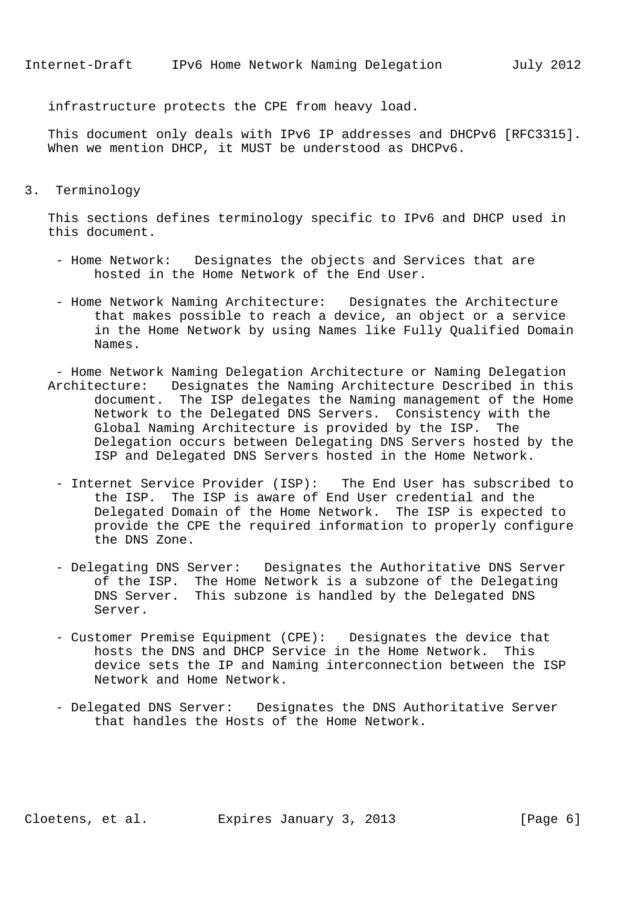infrastructure protects the CPE from heavy load.

 This document only deals with IPv6 IP addresses and DHCPv6 [RFC3315]. When we mention DHCP, it MUST be understood as DHCPv6.

3. Terminology

 This sections defines terminology specific to IPv6 and DHCP used in this document.

- Home Network: Designates the objects and Services that are hosted in the Home Network of the End User.
- Home Network Naming Architecture: Designates the Architecture that makes possible to reach a device, an object or a service in the Home Network by using Names like Fully Qualified Domain Names.
- Home Network Naming Delegation Architecture or Naming Delegation Architecture: Designates the Naming Architecture Described in this document. The ISP delegates the Naming management of the Home Network to the Delegated DNS Servers. Consistency with the Global Naming Architecture is provided by the ISP. The Delegation occurs between Delegating DNS Servers hosted by the ISP and Delegated DNS Servers hosted in the Home Network.
	- Internet Service Provider (ISP): The End User has subscribed to the ISP. The ISP is aware of End User credential and the Delegated Domain of the Home Network. The ISP is expected to provide the CPE the required information to properly configure the DNS Zone.
	- Delegating DNS Server: Designates the Authoritative DNS Server of the ISP. The Home Network is a subzone of the Delegating DNS Server. This subzone is handled by the Delegated DNS Server.
	- Customer Premise Equipment (CPE): Designates the device that hosts the DNS and DHCP Service in the Home Network. This device sets the IP and Naming interconnection between the ISP Network and Home Network.
	- Delegated DNS Server: Designates the DNS Authoritative Server that handles the Hosts of the Home Network.

Cloetens, et al. Expires January 3, 2013 [Page 6]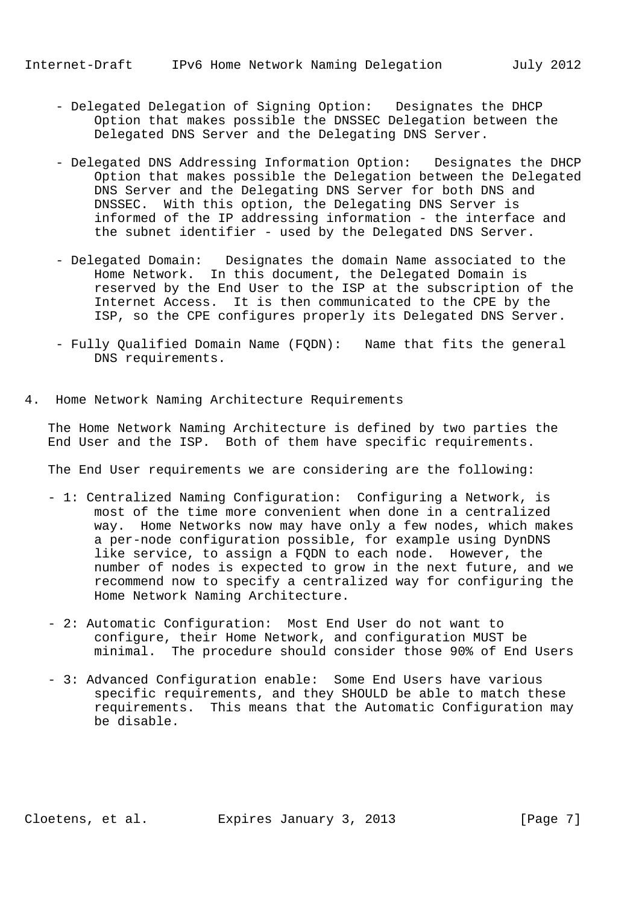- Delegated Delegation of Signing Option: Designates the DHCP Option that makes possible the DNSSEC Delegation between the Delegated DNS Server and the Delegating DNS Server.
- Delegated DNS Addressing Information Option: Designates the DHCP Option that makes possible the Delegation between the Delegated DNS Server and the Delegating DNS Server for both DNS and DNSSEC. With this option, the Delegating DNS Server is informed of the IP addressing information - the interface and the subnet identifier - used by the Delegated DNS Server.
- Delegated Domain: Designates the domain Name associated to the Home Network. In this document, the Delegated Domain is reserved by the End User to the ISP at the subscription of the Internet Access. It is then communicated to the CPE by the ISP, so the CPE configures properly its Delegated DNS Server.
- Fully Qualified Domain Name (FQDN): Name that fits the general DNS requirements.
- 4. Home Network Naming Architecture Requirements

 The Home Network Naming Architecture is defined by two parties the End User and the ISP. Both of them have specific requirements.

The End User requirements we are considering are the following:

- 1: Centralized Naming Configuration: Configuring a Network, is most of the time more convenient when done in a centralized way. Home Networks now may have only a few nodes, which makes a per-node configuration possible, for example using DynDNS like service, to assign a FQDN to each node. However, the number of nodes is expected to grow in the next future, and we recommend now to specify a centralized way for configuring the Home Network Naming Architecture.
- 2: Automatic Configuration: Most End User do not want to configure, their Home Network, and configuration MUST be minimal. The procedure should consider those 90% of End Users
- 3: Advanced Configuration enable: Some End Users have various specific requirements, and they SHOULD be able to match these requirements. This means that the Automatic Configuration may be disable.

Cloetens, et al. Expires January 3, 2013 [Page 7]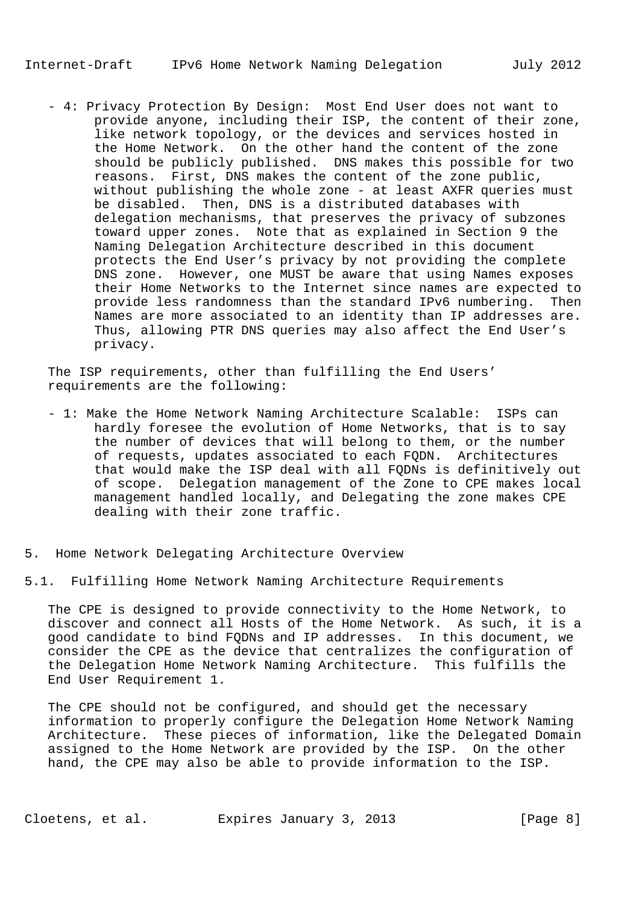- 4: Privacy Protection By Design: Most End User does not want to provide anyone, including their ISP, the content of their zone, like network topology, or the devices and services hosted in the Home Network. On the other hand the content of the zone should be publicly published. DNS makes this possible for two reasons. First, DNS makes the content of the zone public, without publishing the whole zone - at least AXFR queries must be disabled. Then, DNS is a distributed databases with delegation mechanisms, that preserves the privacy of subzones toward upper zones. Note that as explained in Section 9 the Naming Delegation Architecture described in this document protects the End User's privacy by not providing the complete DNS zone. However, one MUST be aware that using Names exposes their Home Networks to the Internet since names are expected to provide less randomness than the standard IPv6 numbering. Then Names are more associated to an identity than IP addresses are. Thus, allowing PTR DNS queries may also affect the End User's privacy.

 The ISP requirements, other than fulfilling the End Users' requirements are the following:

- 1: Make the Home Network Naming Architecture Scalable: ISPs can hardly foresee the evolution of Home Networks, that is to say the number of devices that will belong to them, or the number of requests, updates associated to each FQDN. Architectures that would make the ISP deal with all FQDNs is definitively out of scope. Delegation management of the Zone to CPE makes local management handled locally, and Delegating the zone makes CPE dealing with their zone traffic.
- 5. Home Network Delegating Architecture Overview

5.1. Fulfilling Home Network Naming Architecture Requirements

 The CPE is designed to provide connectivity to the Home Network, to discover and connect all Hosts of the Home Network. As such, it is a good candidate to bind FQDNs and IP addresses. In this document, we consider the CPE as the device that centralizes the configuration of the Delegation Home Network Naming Architecture. This fulfills the End User Requirement 1.

 The CPE should not be configured, and should get the necessary information to properly configure the Delegation Home Network Naming Architecture. These pieces of information, like the Delegated Domain assigned to the Home Network are provided by the ISP. On the other hand, the CPE may also be able to provide information to the ISP.

Cloetens, et al. Expires January 3, 2013 [Page 8]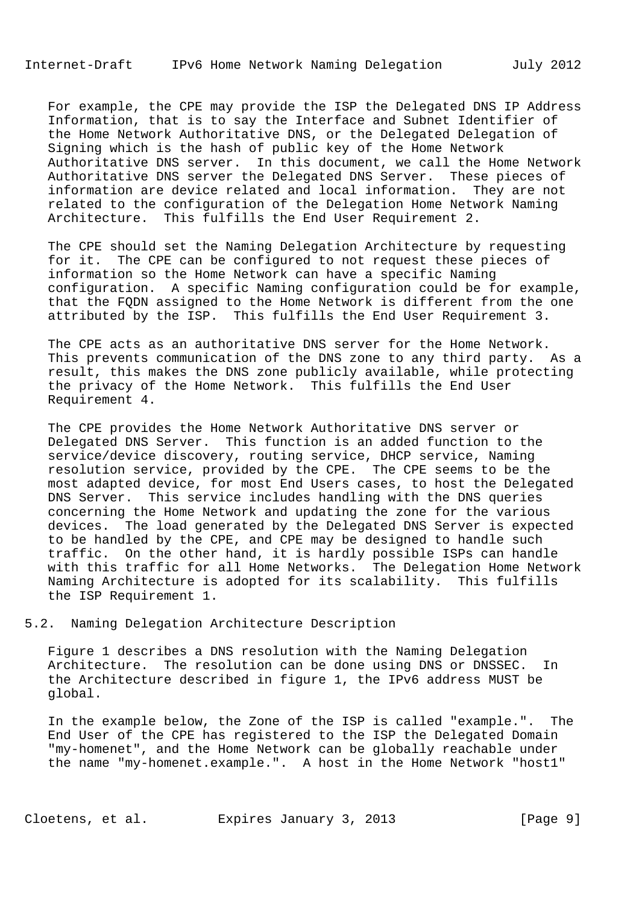For example, the CPE may provide the ISP the Delegated DNS IP Address Information, that is to say the Interface and Subnet Identifier of the Home Network Authoritative DNS, or the Delegated Delegation of Signing which is the hash of public key of the Home Network Authoritative DNS server. In this document, we call the Home Network Authoritative DNS server the Delegated DNS Server. These pieces of information are device related and local information. They are not related to the configuration of the Delegation Home Network Naming Architecture. This fulfills the End User Requirement 2.

 The CPE should set the Naming Delegation Architecture by requesting for it. The CPE can be configured to not request these pieces of information so the Home Network can have a specific Naming configuration. A specific Naming configuration could be for example, that the FQDN assigned to the Home Network is different from the one attributed by the ISP. This fulfills the End User Requirement 3.

 The CPE acts as an authoritative DNS server for the Home Network. This prevents communication of the DNS zone to any third party. As a result, this makes the DNS zone publicly available, while protecting the privacy of the Home Network. This fulfills the End User Requirement 4.

 The CPE provides the Home Network Authoritative DNS server or Delegated DNS Server. This function is an added function to the service/device discovery, routing service, DHCP service, Naming resolution service, provided by the CPE. The CPE seems to be the most adapted device, for most End Users cases, to host the Delegated DNS Server. This service includes handling with the DNS queries concerning the Home Network and updating the zone for the various devices. The load generated by the Delegated DNS Server is expected to be handled by the CPE, and CPE may be designed to handle such traffic. On the other hand, it is hardly possible ISPs can handle with this traffic for all Home Networks. The Delegation Home Network Naming Architecture is adopted for its scalability. This fulfills the ISP Requirement 1.

5.2. Naming Delegation Architecture Description

 Figure 1 describes a DNS resolution with the Naming Delegation Architecture. The resolution can be done using DNS or DNSSEC. In the Architecture described in figure 1, the IPv6 address MUST be global.

 In the example below, the Zone of the ISP is called "example.". The End User of the CPE has registered to the ISP the Delegated Domain "my-homenet", and the Home Network can be globally reachable under the name "my-homenet.example.". A host in the Home Network "host1"

Cloetens, et al. Expires January 3, 2013 [Page 9]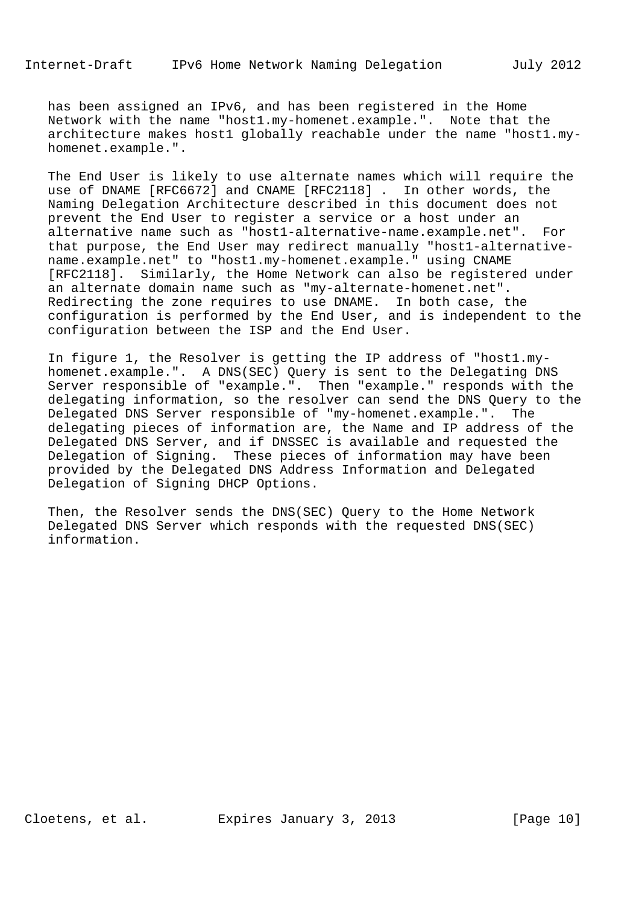has been assigned an IPv6, and has been registered in the Home Network with the name "host1.my-homenet.example.". Note that the architecture makes host1 globally reachable under the name "host1.my homenet.example.".

 The End User is likely to use alternate names which will require the use of DNAME [RFC6672] and CNAME [RFC2118] . In other words, the Naming Delegation Architecture described in this document does not prevent the End User to register a service or a host under an alternative name such as "host1-alternative-name.example.net". For that purpose, the End User may redirect manually "host1-alternative name.example.net" to "host1.my-homenet.example." using CNAME [RFC2118]. Similarly, the Home Network can also be registered under an alternate domain name such as "my-alternate-homenet.net". Redirecting the zone requires to use DNAME. In both case, the configuration is performed by the End User, and is independent to the configuration between the ISP and the End User.

 In figure 1, the Resolver is getting the IP address of "host1.my homenet.example.". A DNS(SEC) Query is sent to the Delegating DNS Server responsible of "example.". Then "example." responds with the delegating information, so the resolver can send the DNS Query to the Delegated DNS Server responsible of "my-homenet.example.". The delegating pieces of information are, the Name and IP address of the Delegated DNS Server, and if DNSSEC is available and requested the Delegation of Signing. These pieces of information may have been provided by the Delegated DNS Address Information and Delegated Delegation of Signing DHCP Options.

 Then, the Resolver sends the DNS(SEC) Query to the Home Network Delegated DNS Server which responds with the requested DNS(SEC) information.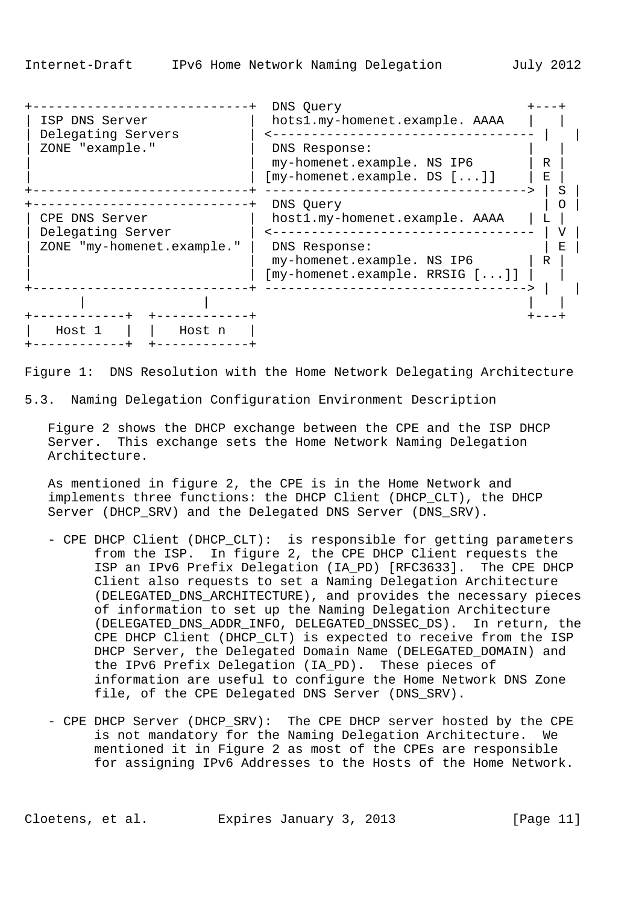| ISP DNS Server<br>Delegating Servers<br>ZONE "example."           | hots1.my-homenet.example. AAAA<br>DNS Response:<br>my-homenet.example. NS IP6<br>R<br>$[my-homenet.example. DS []$<br>Е                   |
|-------------------------------------------------------------------|-------------------------------------------------------------------------------------------------------------------------------------------|
| CPE DNS Server<br>Delegating Server<br>ZONE "my-homenet.example." | DNS Query<br>host1.my-homenet.example. AAAA<br>DNS Response:<br>F.<br>my-homenet.example. NS IP6<br>R<br>$[my-homenet.example. RRSIG []]$ |
| Host 1<br>Host n                                                  |                                                                                                                                           |

Figure 1: DNS Resolution with the Home Network Delegating Architecture

5.3. Naming Delegation Configuration Environment Description

 Figure 2 shows the DHCP exchange between the CPE and the ISP DHCP Server. This exchange sets the Home Network Naming Delegation Architecture.

 As mentioned in figure 2, the CPE is in the Home Network and implements three functions: the DHCP Client (DHCP\_CLT), the DHCP Server (DHCP SRV) and the Delegated DNS Server (DNS SRV).

- CPE DHCP Client (DHCP\_CLT): is responsible for getting parameters from the ISP. In figure 2, the CPE DHCP Client requests the ISP an IPv6 Prefix Delegation (IA\_PD) [RFC3633]. The CPE DHCP Client also requests to set a Naming Delegation Architecture (DELEGATED\_DNS\_ARCHITECTURE), and provides the necessary pieces of information to set up the Naming Delegation Architecture (DELEGATED\_DNS\_ADDR\_INFO, DELEGATED\_DNSSEC\_DS). In return, the CPE DHCP Client (DHCP\_CLT) is expected to receive from the ISP DHCP Server, the Delegated Domain Name (DELEGATED\_DOMAIN) and the IPv6 Prefix Delegation (IA\_PD). These pieces of information are useful to configure the Home Network DNS Zone file, of the CPE Delegated DNS Server (DNS\_SRV).
- CPE DHCP Server (DHCP\_SRV): The CPE DHCP server hosted by the CPE is not mandatory for the Naming Delegation Architecture. We mentioned it in Figure 2 as most of the CPEs are responsible for assigning IPv6 Addresses to the Hosts of the Home Network.

Cloetens, et al. Expires January 3, 2013 [Page 11]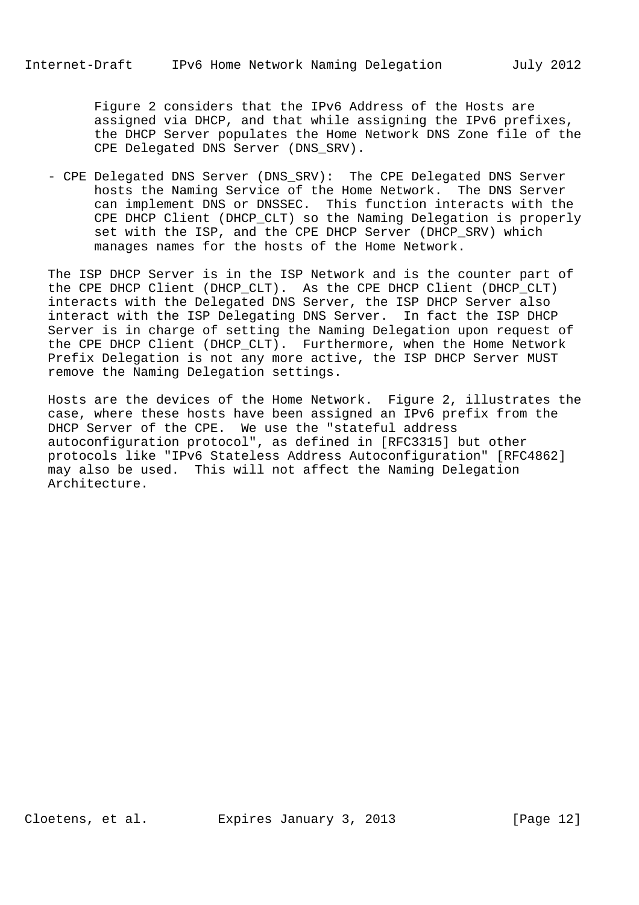Figure 2 considers that the IPv6 Address of the Hosts are assigned via DHCP, and that while assigning the IPv6 prefixes, the DHCP Server populates the Home Network DNS Zone file of the CPE Delegated DNS Server (DNS\_SRV).

 - CPE Delegated DNS Server (DNS\_SRV): The CPE Delegated DNS Server hosts the Naming Service of the Home Network. The DNS Server can implement DNS or DNSSEC. This function interacts with the CPE DHCP Client (DHCP\_CLT) so the Naming Delegation is properly set with the ISP, and the CPE DHCP Server (DHCP\_SRV) which manages names for the hosts of the Home Network.

 The ISP DHCP Server is in the ISP Network and is the counter part of the CPE DHCP Client (DHCP CLT). As the CPE DHCP Client (DHCP CLT) interacts with the Delegated DNS Server, the ISP DHCP Server also interact with the ISP Delegating DNS Server. In fact the ISP DHCP Server is in charge of setting the Naming Delegation upon request of the CPE DHCP Client (DHCP\_CLT). Furthermore, when the Home Network Prefix Delegation is not any more active, the ISP DHCP Server MUST remove the Naming Delegation settings.

 Hosts are the devices of the Home Network. Figure 2, illustrates the case, where these hosts have been assigned an IPv6 prefix from the DHCP Server of the CPE. We use the "stateful address autoconfiguration protocol", as defined in [RFC3315] but other protocols like "IPv6 Stateless Address Autoconfiguration" [RFC4862] may also be used. This will not affect the Naming Delegation Architecture.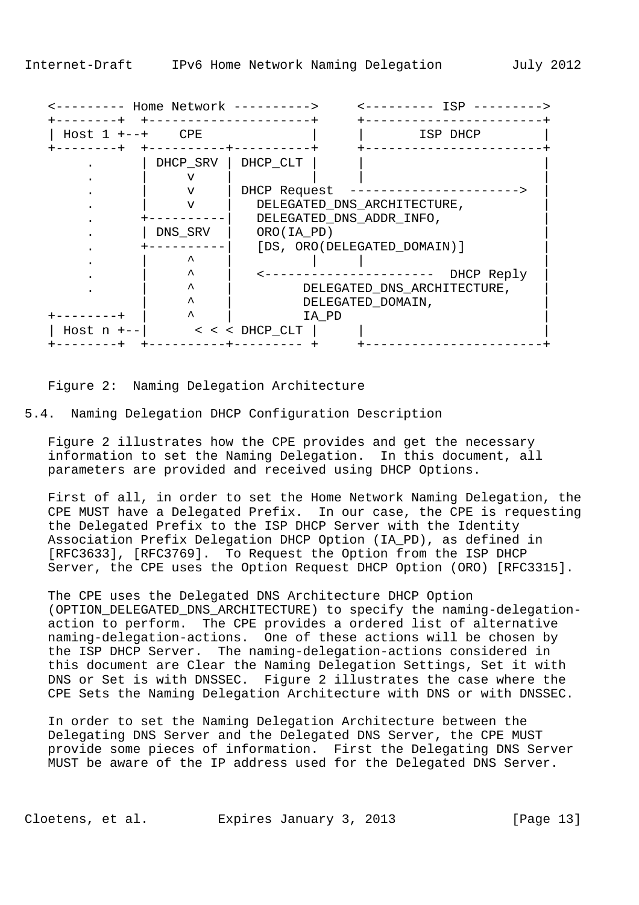| Host $1 + - - +$ CPE |          | ISP DHCP                            |
|----------------------|----------|-------------------------------------|
|                      | DHCP_SRV | DHCP_CLT                            |
|                      | ٦Z       |                                     |
|                      | v        | DHCP Request                        |
|                      | $\tau$   | DELEGATED_DNS_ARCHITECTURE,         |
|                      |          | DELEGATED_DNS_ADDR_INFO,            |
|                      | DNS_SRV  | ORO(IA PD)                          |
|                      |          | [DS, ORO(DELEGATED_DOMAIN)]         |
|                      | ᄉ        |                                     |
|                      | ᄉ        | DHCP Reply<br>--------------------- |
|                      | ᄉ        | DELEGATED_DNS_ARCHITECTURE,         |
|                      | ᄉ        | DELEGATED_DOMAIN,                   |
|                      | ᄉ        | IA PD                               |

Figure 2: Naming Delegation Architecture

5.4. Naming Delegation DHCP Configuration Description

 Figure 2 illustrates how the CPE provides and get the necessary information to set the Naming Delegation. In this document, all parameters are provided and received using DHCP Options.

 First of all, in order to set the Home Network Naming Delegation, the CPE MUST have a Delegated Prefix. In our case, the CPE is requesting the Delegated Prefix to the ISP DHCP Server with the Identity Association Prefix Delegation DHCP Option (IA\_PD), as defined in [RFC3633], [RFC3769]. To Request the Option from the ISP DHCP Server, the CPE uses the Option Request DHCP Option (ORO) [RFC3315].

 The CPE uses the Delegated DNS Architecture DHCP Option (OPTION\_DELEGATED\_DNS\_ARCHITECTURE) to specify the naming-delegation action to perform. The CPE provides a ordered list of alternative naming-delegation-actions. One of these actions will be chosen by the ISP DHCP Server. The naming-delegation-actions considered in this document are Clear the Naming Delegation Settings, Set it with DNS or Set is with DNSSEC. Figure 2 illustrates the case where the CPE Sets the Naming Delegation Architecture with DNS or with DNSSEC.

 In order to set the Naming Delegation Architecture between the Delegating DNS Server and the Delegated DNS Server, the CPE MUST provide some pieces of information. First the Delegating DNS Server MUST be aware of the IP address used for the Delegated DNS Server.

Cloetens, et al. Expires January 3, 2013 [Page 13]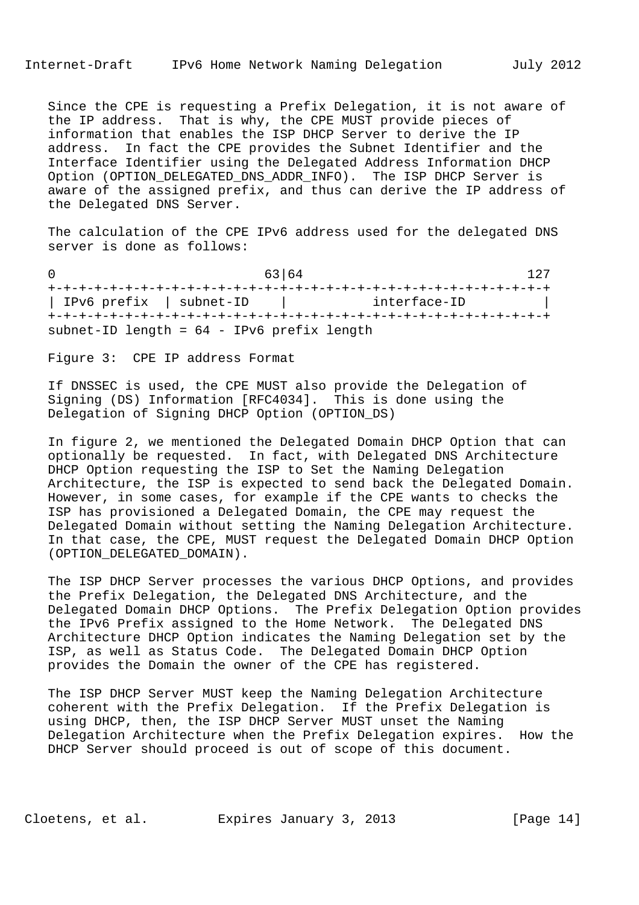Since the CPE is requesting a Prefix Delegation, it is not aware of the IP address. That is why, the CPE MUST provide pieces of information that enables the ISP DHCP Server to derive the IP address. In fact the CPE provides the Subnet Identifier and the Interface Identifier using the Delegated Address Information DHCP Option (OPTION\_DELEGATED\_DNS\_ADDR\_INFO). The ISP DHCP Server is aware of the assigned prefix, and thus can derive the IP address of the Delegated DNS Server.

 The calculation of the CPE IPv6 address used for the delegated DNS server is done as follows:

0 63 64 127 +-+-+-+-+-+-+-+-+-+-+-+-+-+-+-+-+-+-+-+-+-+-+-+-+-+-+-+-+-+-+-+-+ | IPv6 prefix | subnet-ID | interface-ID +-+-+-+-+-+-+-+-+-+-+-+-+-+-+-+-+-+-+-+-+-+-+-+-+-+-+-+-+-+-+-+-+ subnet-ID length = 64 - IPv6 prefix length

Figure 3: CPE IP address Format

 If DNSSEC is used, the CPE MUST also provide the Delegation of Signing (DS) Information [RFC4034]. This is done using the Delegation of Signing DHCP Option (OPTION\_DS)

 In figure 2, we mentioned the Delegated Domain DHCP Option that can optionally be requested. In fact, with Delegated DNS Architecture DHCP Option requesting the ISP to Set the Naming Delegation Architecture, the ISP is expected to send back the Delegated Domain. However, in some cases, for example if the CPE wants to checks the ISP has provisioned a Delegated Domain, the CPE may request the Delegated Domain without setting the Naming Delegation Architecture. In that case, the CPE, MUST request the Delegated Domain DHCP Option (OPTION\_DELEGATED\_DOMAIN).

 The ISP DHCP Server processes the various DHCP Options, and provides the Prefix Delegation, the Delegated DNS Architecture, and the Delegated Domain DHCP Options. The Prefix Delegation Option provides the IPv6 Prefix assigned to the Home Network. The Delegated DNS Architecture DHCP Option indicates the Naming Delegation set by the ISP, as well as Status Code. The Delegated Domain DHCP Option provides the Domain the owner of the CPE has registered.

 The ISP DHCP Server MUST keep the Naming Delegation Architecture coherent with the Prefix Delegation. If the Prefix Delegation is using DHCP, then, the ISP DHCP Server MUST unset the Naming Delegation Architecture when the Prefix Delegation expires. How the DHCP Server should proceed is out of scope of this document.

Cloetens, et al. Expires January 3, 2013 [Page 14]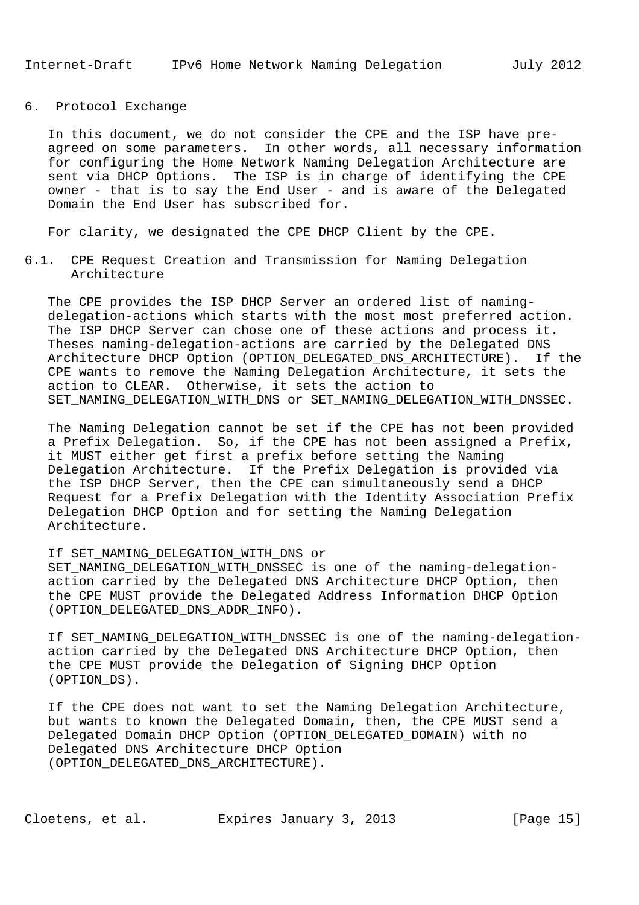6. Protocol Exchange

 In this document, we do not consider the CPE and the ISP have pre agreed on some parameters. In other words, all necessary information for configuring the Home Network Naming Delegation Architecture are sent via DHCP Options. The ISP is in charge of identifying the CPE owner - that is to say the End User - and is aware of the Delegated Domain the End User has subscribed for.

For clarity, we designated the CPE DHCP Client by the CPE.

6.1. CPE Request Creation and Transmission for Naming Delegation Architecture

 The CPE provides the ISP DHCP Server an ordered list of naming delegation-actions which starts with the most most preferred action. The ISP DHCP Server can chose one of these actions and process it. Theses naming-delegation-actions are carried by the Delegated DNS Architecture DHCP Option (OPTION\_DELEGATED\_DNS\_ARCHITECTURE). If the CPE wants to remove the Naming Delegation Architecture, it sets the action to CLEAR. Otherwise, it sets the action to SET\_NAMING\_DELEGATION\_WITH\_DNS or SET\_NAMING\_DELEGATION\_WITH\_DNSSEC.

 The Naming Delegation cannot be set if the CPE has not been provided a Prefix Delegation. So, if the CPE has not been assigned a Prefix, it MUST either get first a prefix before setting the Naming Delegation Architecture. If the Prefix Delegation is provided via the ISP DHCP Server, then the CPE can simultaneously send a DHCP Request for a Prefix Delegation with the Identity Association Prefix Delegation DHCP Option and for setting the Naming Delegation Architecture.

If SET\_NAMING\_DELEGATION\_WITH\_DNS or

 SET\_NAMING\_DELEGATION\_WITH\_DNSSEC is one of the naming-delegation action carried by the Delegated DNS Architecture DHCP Option, then the CPE MUST provide the Delegated Address Information DHCP Option (OPTION\_DELEGATED\_DNS\_ADDR\_INFO).

 If SET\_NAMING\_DELEGATION\_WITH\_DNSSEC is one of the naming-delegation action carried by the Delegated DNS Architecture DHCP Option, then the CPE MUST provide the Delegation of Signing DHCP Option (OPTION\_DS).

 If the CPE does not want to set the Naming Delegation Architecture, but wants to known the Delegated Domain, then, the CPE MUST send a Delegated Domain DHCP Option (OPTION\_DELEGATED\_DOMAIN) with no Delegated DNS Architecture DHCP Option (OPTION\_DELEGATED\_DNS\_ARCHITECTURE).

Cloetens, et al. Expires January 3, 2013 [Page 15]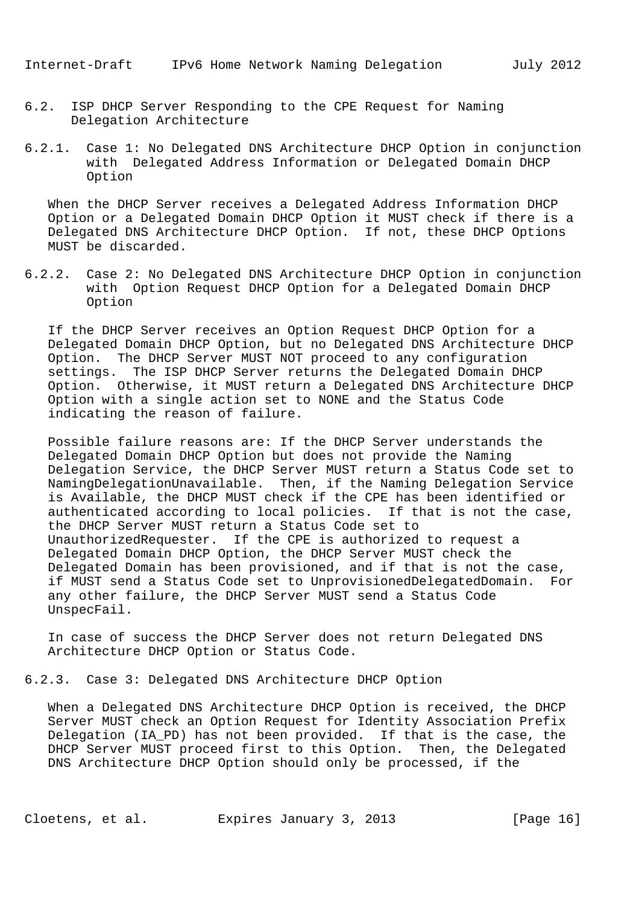- 6.2. ISP DHCP Server Responding to the CPE Request for Naming Delegation Architecture
- 6.2.1. Case 1: No Delegated DNS Architecture DHCP Option in conjunction with Delegated Address Information or Delegated Domain DHCP Option

 When the DHCP Server receives a Delegated Address Information DHCP Option or a Delegated Domain DHCP Option it MUST check if there is a Delegated DNS Architecture DHCP Option. If not, these DHCP Options MUST be discarded.

6.2.2. Case 2: No Delegated DNS Architecture DHCP Option in conjunction with Option Request DHCP Option for a Delegated Domain DHCP Option

 If the DHCP Server receives an Option Request DHCP Option for a Delegated Domain DHCP Option, but no Delegated DNS Architecture DHCP Option. The DHCP Server MUST NOT proceed to any configuration settings. The ISP DHCP Server returns the Delegated Domain DHCP Option. Otherwise, it MUST return a Delegated DNS Architecture DHCP Option with a single action set to NONE and the Status Code indicating the reason of failure.

 Possible failure reasons are: If the DHCP Server understands the Delegated Domain DHCP Option but does not provide the Naming Delegation Service, the DHCP Server MUST return a Status Code set to NamingDelegationUnavailable. Then, if the Naming Delegation Service is Available, the DHCP MUST check if the CPE has been identified or authenticated according to local policies. If that is not the case, the DHCP Server MUST return a Status Code set to UnauthorizedRequester. If the CPE is authorized to request a Delegated Domain DHCP Option, the DHCP Server MUST check the Delegated Domain has been provisioned, and if that is not the case, if MUST send a Status Code set to UnprovisionedDelegatedDomain. For any other failure, the DHCP Server MUST send a Status Code UnspecFail.

 In case of success the DHCP Server does not return Delegated DNS Architecture DHCP Option or Status Code.

6.2.3. Case 3: Delegated DNS Architecture DHCP Option

 When a Delegated DNS Architecture DHCP Option is received, the DHCP Server MUST check an Option Request for Identity Association Prefix Delegation (IA\_PD) has not been provided. If that is the case, the DHCP Server MUST proceed first to this Option. Then, the Delegated DNS Architecture DHCP Option should only be processed, if the

Cloetens, et al. Expires January 3, 2013 [Page 16]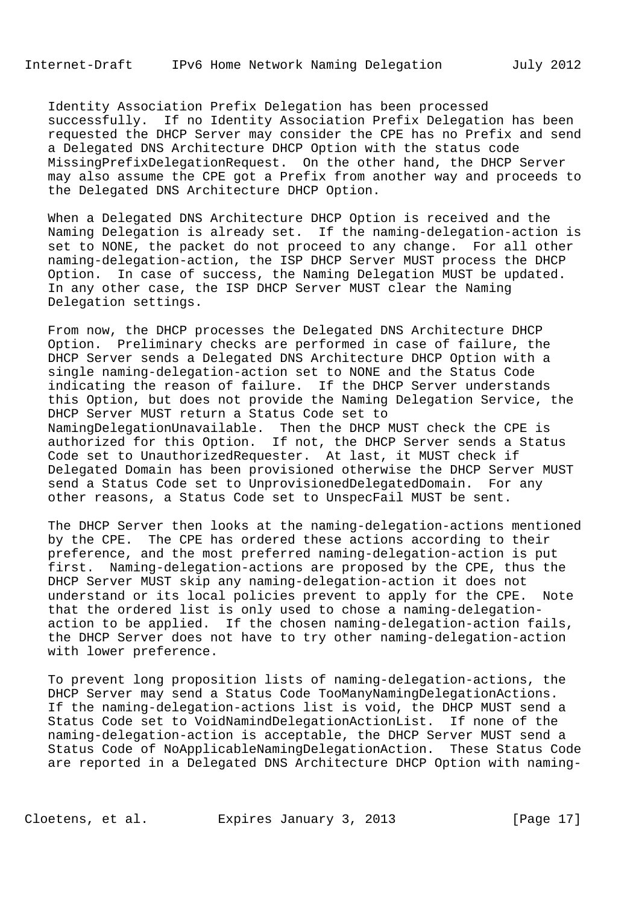Identity Association Prefix Delegation has been processed successfully. If no Identity Association Prefix Delegation has been requested the DHCP Server may consider the CPE has no Prefix and send a Delegated DNS Architecture DHCP Option with the status code MissingPrefixDelegationRequest. On the other hand, the DHCP Server may also assume the CPE got a Prefix from another way and proceeds to the Delegated DNS Architecture DHCP Option.

 When a Delegated DNS Architecture DHCP Option is received and the Naming Delegation is already set. If the naming-delegation-action is set to NONE, the packet do not proceed to any change. For all other naming-delegation-action, the ISP DHCP Server MUST process the DHCP Option. In case of success, the Naming Delegation MUST be updated. In any other case, the ISP DHCP Server MUST clear the Naming Delegation settings.

 From now, the DHCP processes the Delegated DNS Architecture DHCP Option. Preliminary checks are performed in case of failure, the DHCP Server sends a Delegated DNS Architecture DHCP Option with a single naming-delegation-action set to NONE and the Status Code indicating the reason of failure. If the DHCP Server understands this Option, but does not provide the Naming Delegation Service, the DHCP Server MUST return a Status Code set to NamingDelegationUnavailable. Then the DHCP MUST check the CPE is authorized for this Option. If not, the DHCP Server sends a Status Code set to UnauthorizedRequester. At last, it MUST check if Delegated Domain has been provisioned otherwise the DHCP Server MUST send a Status Code set to UnprovisionedDelegatedDomain. For any other reasons, a Status Code set to UnspecFail MUST be sent.

 The DHCP Server then looks at the naming-delegation-actions mentioned by the CPE. The CPE has ordered these actions according to their preference, and the most preferred naming-delegation-action is put first. Naming-delegation-actions are proposed by the CPE, thus the DHCP Server MUST skip any naming-delegation-action it does not understand or its local policies prevent to apply for the CPE. Note that the ordered list is only used to chose a naming-delegation action to be applied. If the chosen naming-delegation-action fails, the DHCP Server does not have to try other naming-delegation-action with lower preference.

 To prevent long proposition lists of naming-delegation-actions, the DHCP Server may send a Status Code TooManyNamingDelegationActions. If the naming-delegation-actions list is void, the DHCP MUST send a Status Code set to VoidNamindDelegationActionList. If none of the naming-delegation-action is acceptable, the DHCP Server MUST send a Status Code of NoApplicableNamingDelegationAction. These Status Code are reported in a Delegated DNS Architecture DHCP Option with naming-

Cloetens, et al. Expires January 3, 2013 [Page 17]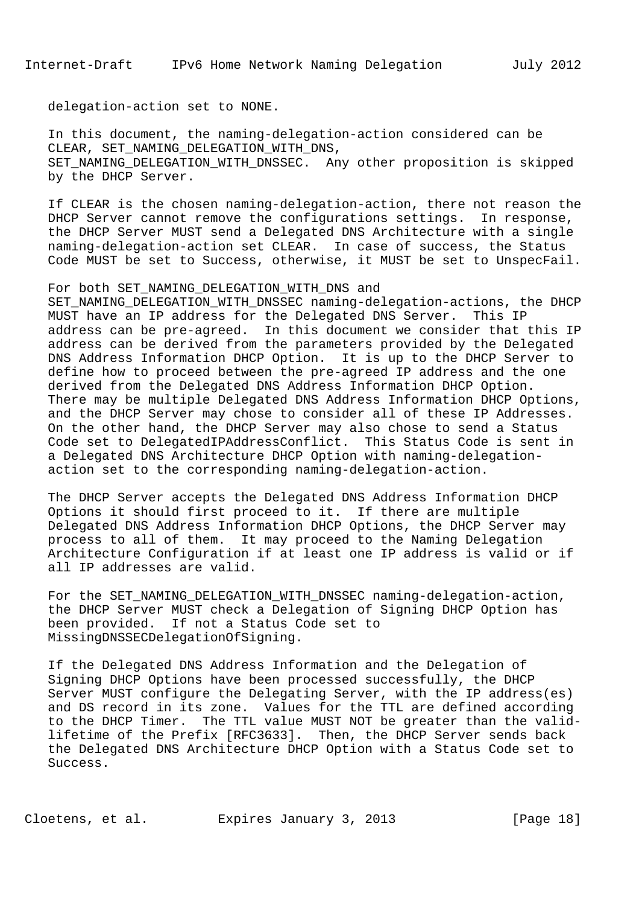delegation-action set to NONE.

 In this document, the naming-delegation-action considered can be CLEAR, SET\_NAMING\_DELEGATION\_WITH\_DNS, SET\_NAMING\_DELEGATION\_WITH\_DNSSEC. Any other proposition is skipped by the DHCP Server.

 If CLEAR is the chosen naming-delegation-action, there not reason the DHCP Server cannot remove the configurations settings. In response, the DHCP Server MUST send a Delegated DNS Architecture with a single naming-delegation-action set CLEAR. In case of success, the Status Code MUST be set to Success, otherwise, it MUST be set to UnspecFail.

#### For both SET NAMING DELEGATION WITH DNS and

 SET\_NAMING\_DELEGATION\_WITH\_DNSSEC naming-delegation-actions, the DHCP MUST have an IP address for the Delegated DNS Server. This IP address can be pre-agreed. In this document we consider that this IP address can be derived from the parameters provided by the Delegated DNS Address Information DHCP Option. It is up to the DHCP Server to define how to proceed between the pre-agreed IP address and the one derived from the Delegated DNS Address Information DHCP Option. There may be multiple Delegated DNS Address Information DHCP Options, and the DHCP Server may chose to consider all of these IP Addresses. On the other hand, the DHCP Server may also chose to send a Status Code set to DelegatedIPAddressConflict. This Status Code is sent in a Delegated DNS Architecture DHCP Option with naming-delegation action set to the corresponding naming-delegation-action.

 The DHCP Server accepts the Delegated DNS Address Information DHCP Options it should first proceed to it. If there are multiple Delegated DNS Address Information DHCP Options, the DHCP Server may process to all of them. It may proceed to the Naming Delegation Architecture Configuration if at least one IP address is valid or if all IP addresses are valid.

 For the SET\_NAMING\_DELEGATION\_WITH\_DNSSEC naming-delegation-action, the DHCP Server MUST check a Delegation of Signing DHCP Option has been provided. If not a Status Code set to MissingDNSSECDelegationOfSigning.

 If the Delegated DNS Address Information and the Delegation of Signing DHCP Options have been processed successfully, the DHCP Server MUST configure the Delegating Server, with the IP address(es) and DS record in its zone. Values for the TTL are defined according to the DHCP Timer. The TTL value MUST NOT be greater than the valid lifetime of the Prefix [RFC3633]. Then, the DHCP Server sends back the Delegated DNS Architecture DHCP Option with a Status Code set to Success.

Cloetens, et al. Expires January 3, 2013 [Page 18]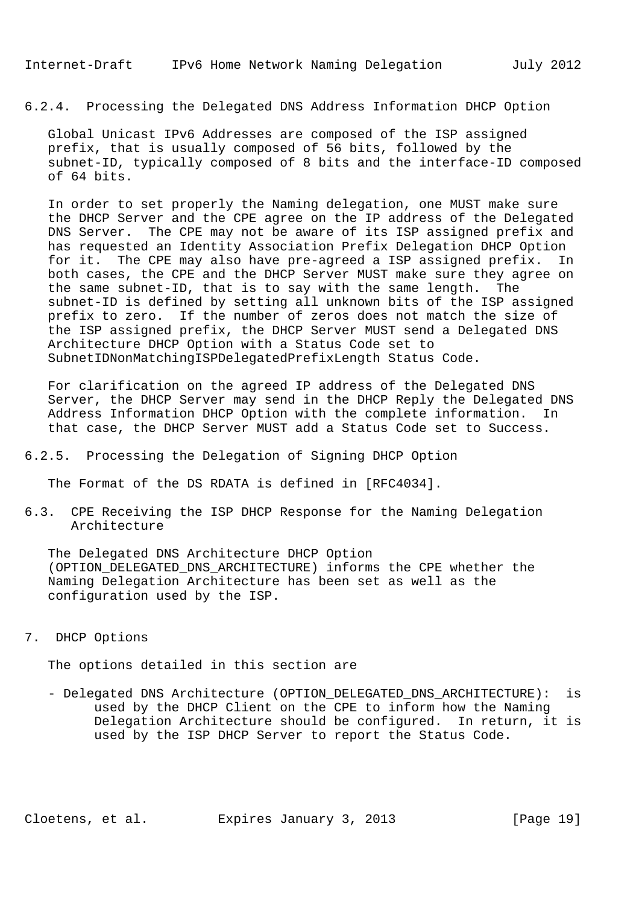6.2.4. Processing the Delegated DNS Address Information DHCP Option

 Global Unicast IPv6 Addresses are composed of the ISP assigned prefix, that is usually composed of 56 bits, followed by the subnet-ID, typically composed of 8 bits and the interface-ID composed of 64 bits.

 In order to set properly the Naming delegation, one MUST make sure the DHCP Server and the CPE agree on the IP address of the Delegated DNS Server. The CPE may not be aware of its ISP assigned prefix and has requested an Identity Association Prefix Delegation DHCP Option for it. The CPE may also have pre-agreed a ISP assigned prefix. In both cases, the CPE and the DHCP Server MUST make sure they agree on the same subnet-ID, that is to say with the same length. The subnet-ID is defined by setting all unknown bits of the ISP assigned prefix to zero. If the number of zeros does not match the size of the ISP assigned prefix, the DHCP Server MUST send a Delegated DNS Architecture DHCP Option with a Status Code set to SubnetIDNonMatchingISPDelegatedPrefixLength Status Code.

 For clarification on the agreed IP address of the Delegated DNS Server, the DHCP Server may send in the DHCP Reply the Delegated DNS Address Information DHCP Option with the complete information. In that case, the DHCP Server MUST add a Status Code set to Success.

6.2.5. Processing the Delegation of Signing DHCP Option

The Format of the DS RDATA is defined in [RFC4034].

6.3. CPE Receiving the ISP DHCP Response for the Naming Delegation Architecture

 The Delegated DNS Architecture DHCP Option (OPTION\_DELEGATED\_DNS\_ARCHITECTURE) informs the CPE whether the Naming Delegation Architecture has been set as well as the configuration used by the ISP.

7. DHCP Options

The options detailed in this section are

 - Delegated DNS Architecture (OPTION\_DELEGATED\_DNS\_ARCHITECTURE): is used by the DHCP Client on the CPE to inform how the Naming Delegation Architecture should be configured. In return, it is used by the ISP DHCP Server to report the Status Code.

Cloetens, et al. Expires January 3, 2013 [Page 19]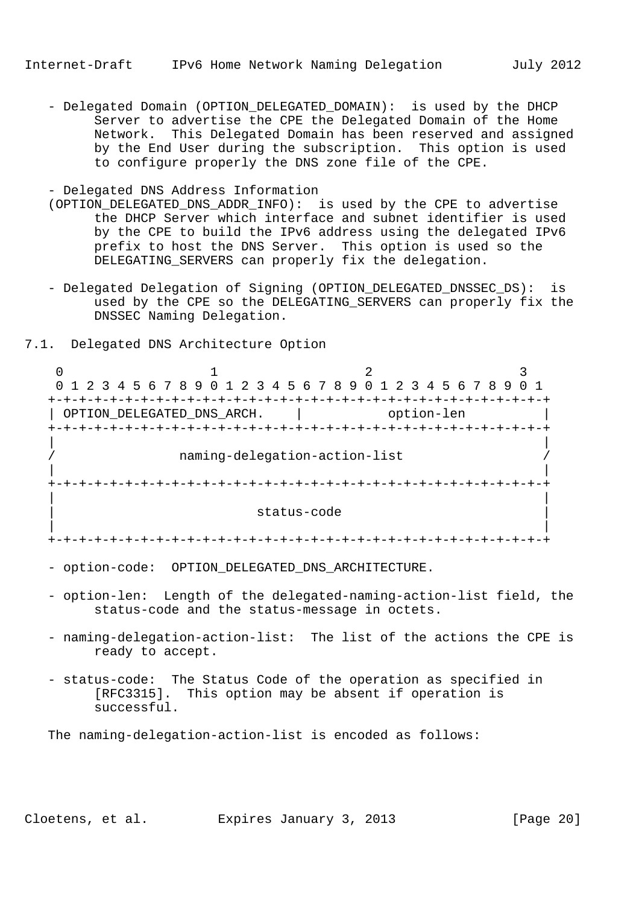- Delegated Domain (OPTION DELEGATED DOMAIN): is used by the DHCP Server to advertise the CPE the Delegated Domain of the Home Network. This Delegated Domain has been reserved and assigned by the End User during the subscription. This option is used to configure properly the DNS zone file of the CPE.

- Delegated DNS Address Information

- (OPTION\_DELEGATED\_DNS\_ADDR\_INFO): is used by the CPE to advertise the DHCP Server which interface and subnet identifier is used by the CPE to build the IPv6 address using the delegated IPv6 prefix to host the DNS Server. This option is used so the DELEGATING\_SERVERS can properly fix the delegation.
- Delegated Delegation of Signing (OPTION DELEGATED DNSSEC DS): is used by the CPE so the DELEGATING\_SERVERS can properly fix the DNSSEC Naming Delegation.
- 7.1. Delegated DNS Architecture Option

0  $1$  2 3 0 1 2 3 4 5 6 7 8 9 0 1 2 3 4 5 6 7 8 9 0 1 2 3 4 5 6 7 8 9 0 1 +-+-+-+-+-+-+-+-+-+-+-+-+-+-+-+-+-+-+-+-+-+-+-+-+-+-+-+-+-+-+-+-+ | OPTION\_DELEGATED\_DNS\_ARCH. | option-len +-+-+-+-+-+-+-+-+-+-+-+-+-+-+-+-+-+-+-+-+-+-+-+-+-+-+-+-+-+-+-+-+ | | naming-delegation-action-list | | +-+-+-+-+-+-+-+-+-+-+-+-+-+-+-+-+-+-+-+-+-+-+-+-+-+-+-+-+-+-+-+-+ | | | status-code | | | +-+-+-+-+-+-+-+-+-+-+-+-+-+-+-+-+-+-+-+-+-+-+-+-+-+-+-+-+-+-+-+-+

- option-code: OPTION\_DELEGATED\_DNS\_ARCHITECTURE.
- option-len: Length of the delegated-naming-action-list field, the status-code and the status-message in octets.
- naming-delegation-action-list: The list of the actions the CPE is ready to accept.
- status-code: The Status Code of the operation as specified in [RFC3315]. This option may be absent if operation is successful.

The naming-delegation-action-list is encoded as follows:

Cloetens, et al. Expires January 3, 2013 [Page 20]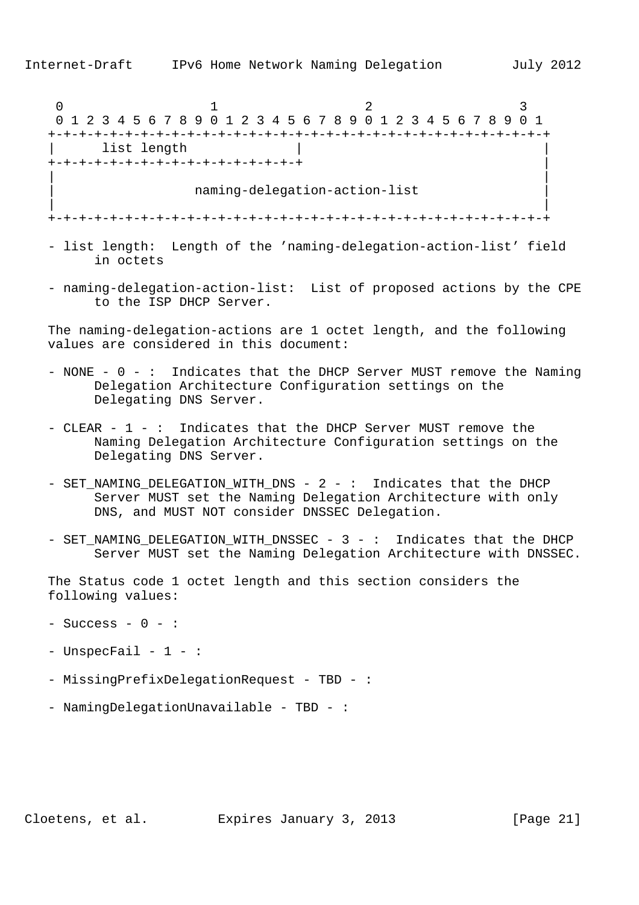0  $1$  2 3 0 1 2 3 4 5 6 7 8 9 0 1 2 3 4 5 6 7 8 9 0 1 2 3 4 5 6 7 8 9 0 1 +-+-+-+-+-+-+-+-+-+-+-+-+-+-+-+-+-+-+-+-+-+-+-+-+-+-+-+-+-+-+-+-+ list length +-+-+-+-+-+-+-+-+-+-+-+-+-+-+-+-+ | | | | naming-delegation-action-list | | | +-+-+-+-+-+-+-+-+-+-+-+-+-+-+-+-+-+-+-+-+-+-+-+-+-+-+-+-+-+-+-+-+

- list length: Length of the 'naming-delegation-action-list' field in octets
- naming-delegation-action-list: List of proposed actions by the CPE to the ISP DHCP Server.

 The naming-delegation-actions are 1 octet length, and the following values are considered in this document:

- NONE 0 : Indicates that the DHCP Server MUST remove the Naming Delegation Architecture Configuration settings on the Delegating DNS Server.
- CLEAR 1 : Indicates that the DHCP Server MUST remove the Naming Delegation Architecture Configuration settings on the Delegating DNS Server.
- SET\_NAMING\_DELEGATION\_WITH\_DNS 2 : Indicates that the DHCP Server MUST set the Naming Delegation Architecture with only DNS, and MUST NOT consider DNSSEC Delegation.
- SET NAMING DELEGATION WITH DNSSEC 3 : Indicates that the DHCP Server MUST set the Naming Delegation Architecture with DNSSEC.

 The Status code 1 octet length and this section considers the following values:

- $-$  Success  $-$  0  $-$  :
- UnspecFail 1 :
- MissingPrefixDelegationRequest TBD :
- NamingDelegationUnavailable TBD :

Cloetens, et al. Expires January 3, 2013 [Page 21]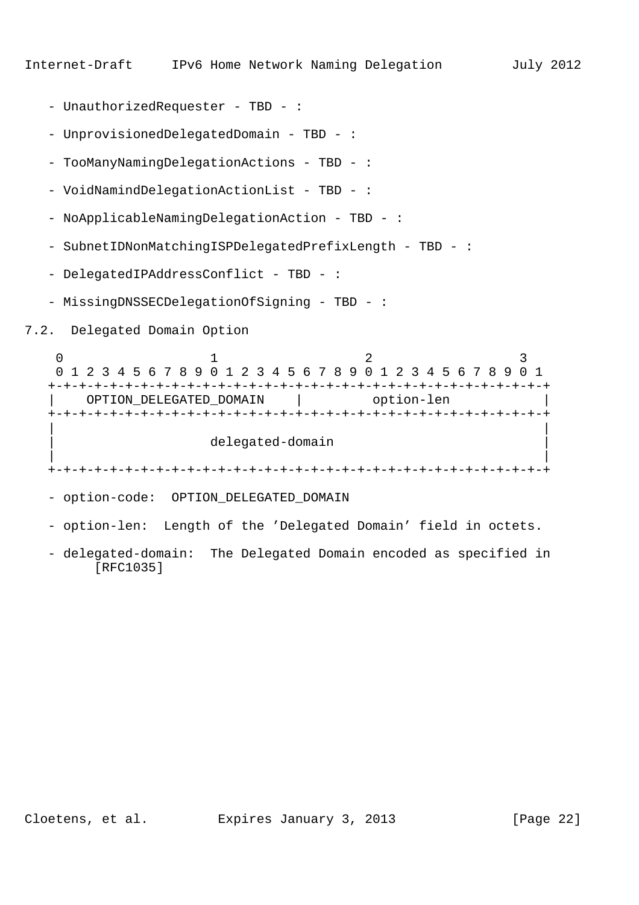- UnauthorizedRequester TBD :
- UnprovisionedDelegatedDomain TBD :
- TooManyNamingDelegationActions TBD :
- VoidNamindDelegationActionList TBD :
- NoApplicableNamingDelegationAction TBD :
- SubnetIDNonMatchingISPDelegatedPrefixLength TBD :
- DelegatedIPAddressConflict TBD :
- MissingDNSSECDelegationOfSigning TBD :
- 7.2. Delegated Domain Option

0  $1$  2 3 0 1 2 3 4 5 6 7 8 9 0 1 2 3 4 5 6 7 8 9 0 1 2 3 4 5 6 7 8 9 0 1 +-+-+-+-+-+-+-+-+-+-+-+-+-+-+-+-+-+-+-+-+-+-+-+-+-+-+-+-+-+-+-+-+ OPTION\_DELEGATED\_DOMAIN | option-len +-+-+-+-+-+-+-+-+-+-+-+-+-+-+-+-+-+-+-+-+-+-+-+-+-+-+-+-+-+-+-+-+ | | | delegated-domain | | | +-+-+-+-+-+-+-+-+-+-+-+-+-+-+-+-+-+-+-+-+-+-+-+-+-+-+-+-+-+-+-+-+ - option-code: OPTION\_DELEGATED\_DOMAIN - option-len: Length of the 'Delegated Domain' field in octets.

 - delegated-domain: The Delegated Domain encoded as specified in [RFC1035]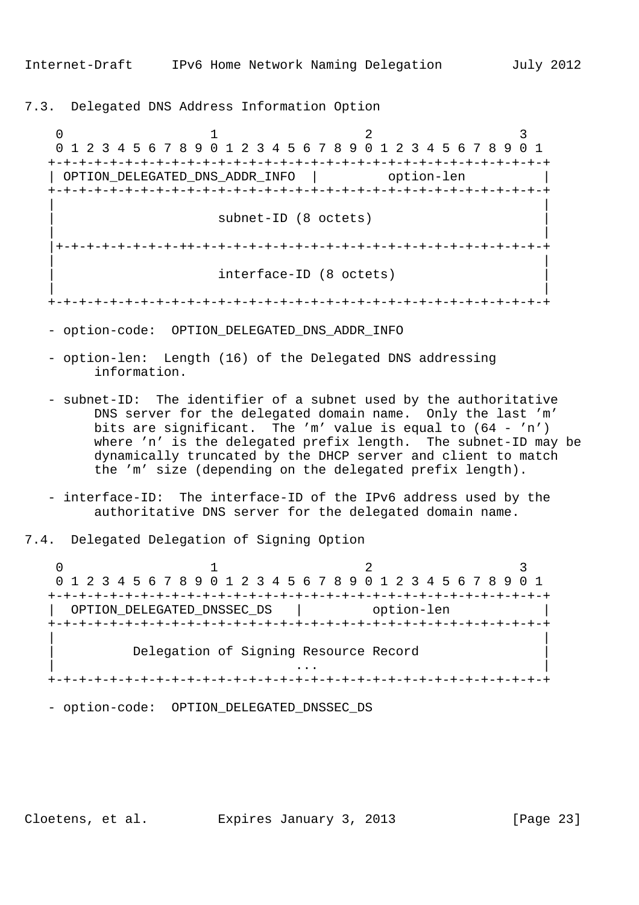7.3. Delegated DNS Address Information Option

0  $1$  2 3 0 1 2 3 4 5 6 7 8 9 0 1 2 3 4 5 6 7 8 9 0 1 2 3 4 5 6 7 8 9 0 1 +-+-+-+-+-+-+-+-+-+-+-+-+-+-+-+-+-+-+-+-+-+-+-+-+-+-+-+-+-+-+-+-+ | OPTION\_DELEGATED\_DNS\_ADDR\_INFO | option-len +-+-+-+-+-+-+-+-+-+-+-+-+-+-+-+-+-+-+-+-+-+-+-+-+-+-+-+-+-+-+-+-+ | | subnet-ID (8 octets) | | |+-+-+-+-+-+-+-+-++-+-+-+-+-+-+-+-+-+-+-+-+-+-+-+-+-+-+-+-+-+-+-+ | | interface-ID (8 octets) | | +-+-+-+-+-+-+-+-+-+-+-+-+-+-+-+-+-+-+-+-+-+-+-+-+-+-+-+-+-+-+-+-+

- option-code: OPTION\_DELEGATED\_DNS\_ADDR\_INFO
- option-len: Length (16) of the Delegated DNS addressing information.
- subnet-ID: The identifier of a subnet used by the authoritative DNS server for the delegated domain name. Only the last 'm' bits are significant. The 'm' value is equal to (64 - 'n') where 'n' is the delegated prefix length. The subnet-ID may be dynamically truncated by the DHCP server and client to match the 'm' size (depending on the delegated prefix length).
- interface-ID: The interface-ID of the IPv6 address used by the authoritative DNS server for the delegated domain name.
- 7.4. Delegated Delegation of Signing Option

0  $1$  2 3 0 1 2 3 4 5 6 7 8 9 0 1 2 3 4 5 6 7 8 9 0 1 2 3 4 5 6 7 8 9 0 1 +-+-+-+-+-+-+-+-+-+-+-+-+-+-+-+-+-+-+-+-+-+-+-+-+-+-+-+-+-+-+-+-+ | OPTION\_DELEGATED\_DNSSEC\_DS | option-len +-+-+-+-+-+-+-+-+-+-+-+-+-+-+-+-+-+-+-+-+-+-+-+-+-+-+-+-+-+-+-+-+ | | Delegation of Signing Resource Record  $\| \cdot \|$  . In the contract of the contract of the contract of the contract of the contract of the contract of the contract of the contract of the contract of the contract of the contract of the contract of the contract of +-+-+-+-+-+-+-+-+-+-+-+-+-+-+-+-+-+-+-+-+-+-+-+-+-+-+-+-+-+-+-+-+

- option-code: OPTION\_DELEGATED\_DNSSEC\_DS

Cloetens, et al. Expires January 3, 2013 [Page 23]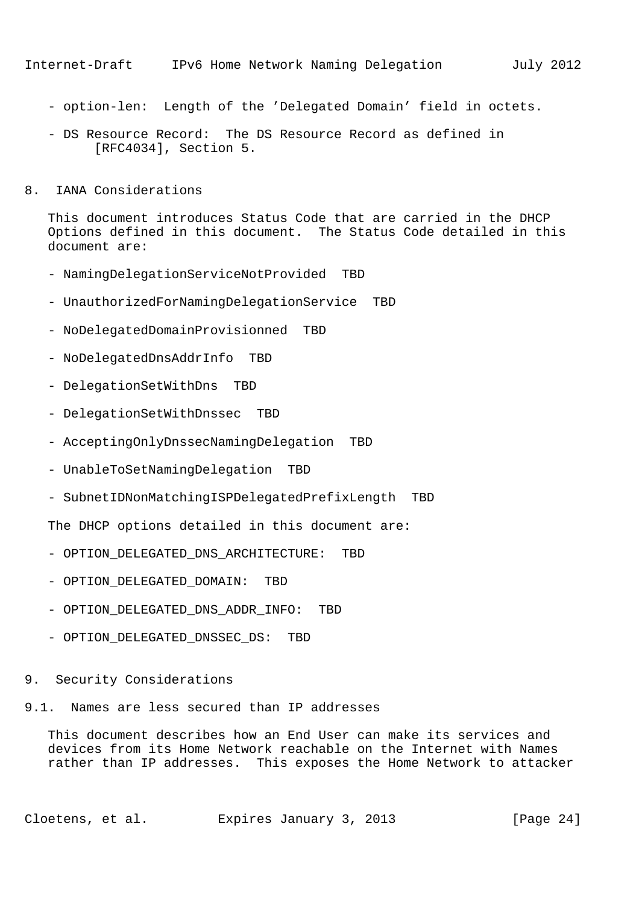- option-len: Length of the 'Delegated Domain' field in octets.
- DS Resource Record: The DS Resource Record as defined in [RFC4034], Section 5.
- 8. IANA Considerations

 This document introduces Status Code that are carried in the DHCP Options defined in this document. The Status Code detailed in this document are:

- NamingDelegationServiceNotProvided TBD
- UnauthorizedForNamingDelegationService TBD
- NoDelegatedDomainProvisionned TBD
- NoDelegatedDnsAddrInfo TBD
- DelegationSetWithDns TBD
- DelegationSetWithDnssec TBD
- AcceptingOnlyDnssecNamingDelegation TBD
- UnableToSetNamingDelegation TBD
- SubnetIDNonMatchingISPDelegatedPrefixLength TBD

The DHCP options detailed in this document are:

- OPTION\_DELEGATED\_DNS\_ARCHITECTURE: TBD
- OPTION\_DELEGATED\_DOMAIN: TBD
- OPTION\_DELEGATED\_DNS\_ADDR\_INFO: TBD
- OPTION\_DELEGATED\_DNSSEC\_DS: TBD
- 9. Security Considerations
- 9.1. Names are less secured than IP addresses

 This document describes how an End User can make its services and devices from its Home Network reachable on the Internet with Names rather than IP addresses. This exposes the Home Network to attacker

Cloetens, et al. Expires January 3, 2013 [Page 24]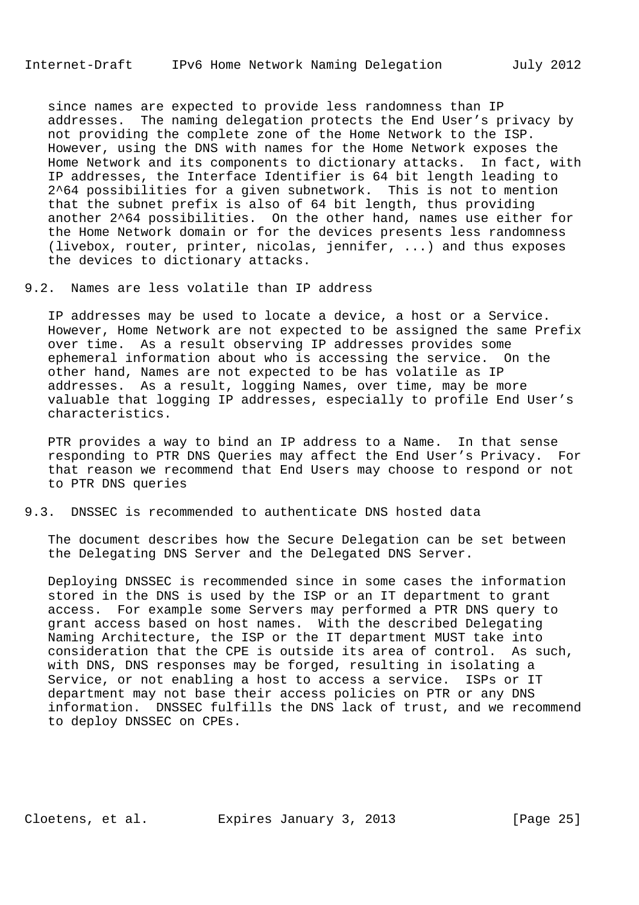since names are expected to provide less randomness than IP addresses. The naming delegation protects the End User's privacy by not providing the complete zone of the Home Network to the ISP. However, using the DNS with names for the Home Network exposes the Home Network and its components to dictionary attacks. In fact, with IP addresses, the Interface Identifier is 64 bit length leading to 2^64 possibilities for a given subnetwork. This is not to mention that the subnet prefix is also of 64 bit length, thus providing another 2^64 possibilities. On the other hand, names use either for the Home Network domain or for the devices presents less randomness (livebox, router, printer, nicolas, jennifer, ...) and thus exposes the devices to dictionary attacks.

### 9.2. Names are less volatile than IP address

 IP addresses may be used to locate a device, a host or a Service. However, Home Network are not expected to be assigned the same Prefix over time. As a result observing IP addresses provides some ephemeral information about who is accessing the service. On the other hand, Names are not expected to be has volatile as IP addresses. As a result, logging Names, over time, may be more valuable that logging IP addresses, especially to profile End User's characteristics.

 PTR provides a way to bind an IP address to a Name. In that sense responding to PTR DNS Queries may affect the End User's Privacy. For that reason we recommend that End Users may choose to respond or not to PTR DNS queries

### 9.3. DNSSEC is recommended to authenticate DNS hosted data

 The document describes how the Secure Delegation can be set between the Delegating DNS Server and the Delegated DNS Server.

 Deploying DNSSEC is recommended since in some cases the information stored in the DNS is used by the ISP or an IT department to grant access. For example some Servers may performed a PTR DNS query to grant access based on host names. With the described Delegating Naming Architecture, the ISP or the IT department MUST take into consideration that the CPE is outside its area of control. As such, with DNS, DNS responses may be forged, resulting in isolating a Service, or not enabling a host to access a service. ISPs or IT department may not base their access policies on PTR or any DNS information. DNSSEC fulfills the DNS lack of trust, and we recommend to deploy DNSSEC on CPEs.

Cloetens, et al. Expires January 3, 2013 [Page 25]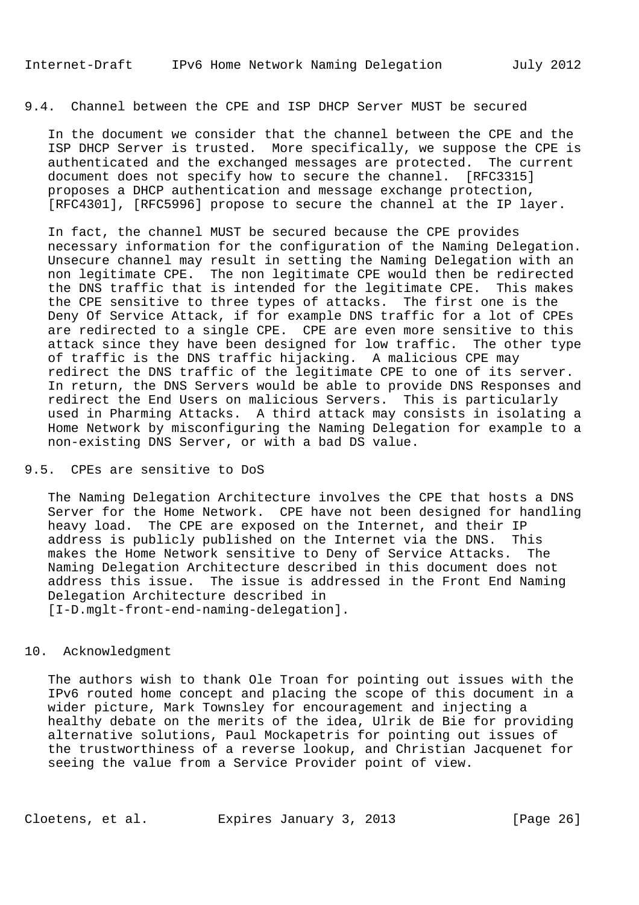## 9.4. Channel between the CPE and ISP DHCP Server MUST be secured

 In the document we consider that the channel between the CPE and the ISP DHCP Server is trusted. More specifically, we suppose the CPE is authenticated and the exchanged messages are protected. The current document does not specify how to secure the channel. [RFC3315] proposes a DHCP authentication and message exchange protection, [RFC4301], [RFC5996] propose to secure the channel at the IP layer.

 In fact, the channel MUST be secured because the CPE provides necessary information for the configuration of the Naming Delegation. Unsecure channel may result in setting the Naming Delegation with an non legitimate CPE. The non legitimate CPE would then be redirected the DNS traffic that is intended for the legitimate CPE. This makes the CPE sensitive to three types of attacks. The first one is the Deny Of Service Attack, if for example DNS traffic for a lot of CPEs are redirected to a single CPE. CPE are even more sensitive to this attack since they have been designed for low traffic. The other type of traffic is the DNS traffic hijacking. A malicious CPE may redirect the DNS traffic of the legitimate CPE to one of its server. In return, the DNS Servers would be able to provide DNS Responses and redirect the End Users on malicious Servers. This is particularly used in Pharming Attacks. A third attack may consists in isolating a Home Network by misconfiguring the Naming Delegation for example to a non-existing DNS Server, or with a bad DS value.

#### 9.5. CPEs are sensitive to DoS

 The Naming Delegation Architecture involves the CPE that hosts a DNS Server for the Home Network. CPE have not been designed for handling heavy load. The CPE are exposed on the Internet, and their IP address is publicly published on the Internet via the DNS. This makes the Home Network sensitive to Deny of Service Attacks. The Naming Delegation Architecture described in this document does not address this issue. The issue is addressed in the Front End Naming Delegation Architecture described in [I-D.mglt-front-end-naming-delegation].

#### 10. Acknowledgment

 The authors wish to thank Ole Troan for pointing out issues with the IPv6 routed home concept and placing the scope of this document in a wider picture, Mark Townsley for encouragement and injecting a healthy debate on the merits of the idea, Ulrik de Bie for providing alternative solutions, Paul Mockapetris for pointing out issues of the trustworthiness of a reverse lookup, and Christian Jacquenet for seeing the value from a Service Provider point of view.

Cloetens, et al. Expires January 3, 2013 [Page 26]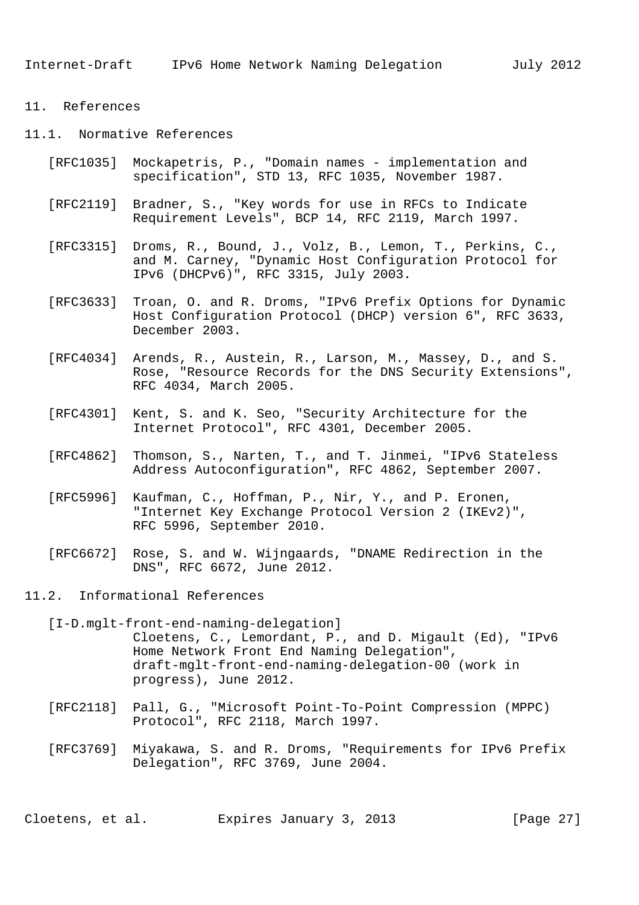Internet-Draft IPv6 Home Network Naming Delegation July 2012

- 11. References
- 11.1. Normative References
	- [RFC1035] Mockapetris, P., "Domain names implementation and specification", STD 13, RFC 1035, November 1987.
	- [RFC2119] Bradner, S., "Key words for use in RFCs to Indicate Requirement Levels", BCP 14, RFC 2119, March 1997.
	- [RFC3315] Droms, R., Bound, J., Volz, B., Lemon, T., Perkins, C., and M. Carney, "Dynamic Host Configuration Protocol for IPv6 (DHCPv6)", RFC 3315, July 2003.
	- [RFC3633] Troan, O. and R. Droms, "IPv6 Prefix Options for Dynamic Host Configuration Protocol (DHCP) version 6", RFC 3633, December 2003.
	- [RFC4034] Arends, R., Austein, R., Larson, M., Massey, D., and S. Rose, "Resource Records for the DNS Security Extensions", RFC 4034, March 2005.
	- [RFC4301] Kent, S. and K. Seo, "Security Architecture for the Internet Protocol", RFC 4301, December 2005.
	- [RFC4862] Thomson, S., Narten, T., and T. Jinmei, "IPv6 Stateless Address Autoconfiguration", RFC 4862, September 2007.
	- [RFC5996] Kaufman, C., Hoffman, P., Nir, Y., and P. Eronen, "Internet Key Exchange Protocol Version 2 (IKEv2)", RFC 5996, September 2010.
	- [RFC6672] Rose, S. and W. Wijngaards, "DNAME Redirection in the DNS", RFC 6672, June 2012.

11.2. Informational References

 [I-D.mglt-front-end-naming-delegation] Cloetens, C., Lemordant, P., and D. Migault (Ed), "IPv6 Home Network Front End Naming Delegation", draft-mglt-front-end-naming-delegation-00 (work in progress), June 2012.

- [RFC2118] Pall, G., "Microsoft Point-To-Point Compression (MPPC) Protocol", RFC 2118, March 1997.
- [RFC3769] Miyakawa, S. and R. Droms, "Requirements for IPv6 Prefix Delegation", RFC 3769, June 2004.

Cloetens, et al. Expires January 3, 2013 [Page 27]